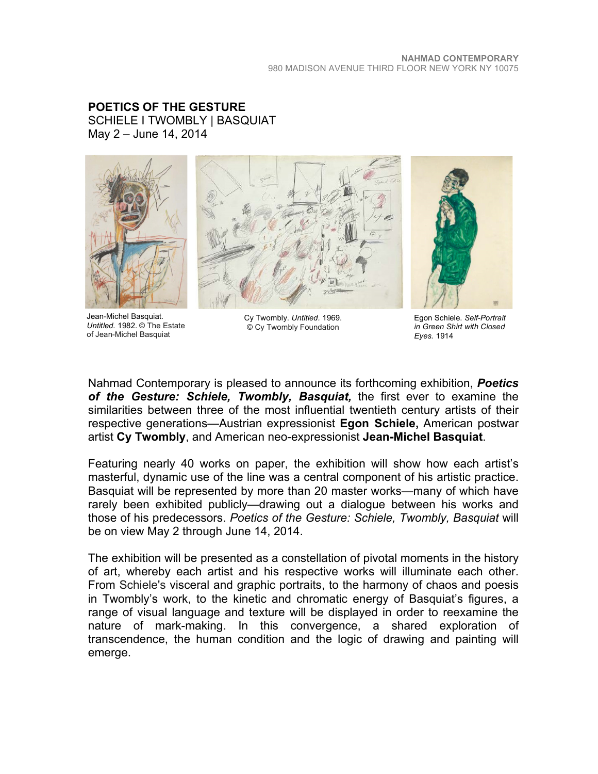**POETICS OF THE GESTURE** SCHIELE I TWOMBLY | BASQUIAT May 2 – June 14, 2014



Jean-Michel Basquiat. *Untitled.* 1982. © The Estate of Jean-Michel Basquiat



Cy Twombly. *Untitled.* 1969. © Cy Twombly Foundation



Egon Schiele. *Self-Portrait in Green Shirt with Closed Eyes.* 1914

Nahmad Contemporary is pleased to announce its forthcoming exhibition, *Poetics of the Gesture: Schiele, Twombly, Basquiat,* the first ever to examine the similarities between three of the most influential twentieth century artists of their respective generations—Austrian expressionist **Egon Schiele,** American postwar artist **Cy Twombly**, and American neo-expressionist **Jean-Michel Basquiat**.

Featuring nearly 40 works on paper, the exhibition will show how each artist's masterful, dynamic use of the line was a central component of his artistic practice. Basquiat will be represented by more than 20 master works—many of which have rarely been exhibited publicly—drawing out a dialogue between his works and those of his predecessors. *Poetics of the Gesture: Schiele, Twombly, Basquiat* will be on view May 2 through June 14, 2014.

The exhibition will be presented as a constellation of pivotal moments in the history of art, whereby each artist and his respective works will illuminate each other. From Schiele's visceral and graphic portraits, to the harmony of chaos and poesis in Twombly's work, to the kinetic and chromatic energy of Basquiat's figures, a range of visual language and texture will be displayed in order to reexamine the nature of mark-making. In this convergence, a shared exploration of transcendence, the human condition and the logic of drawing and painting will emerge.